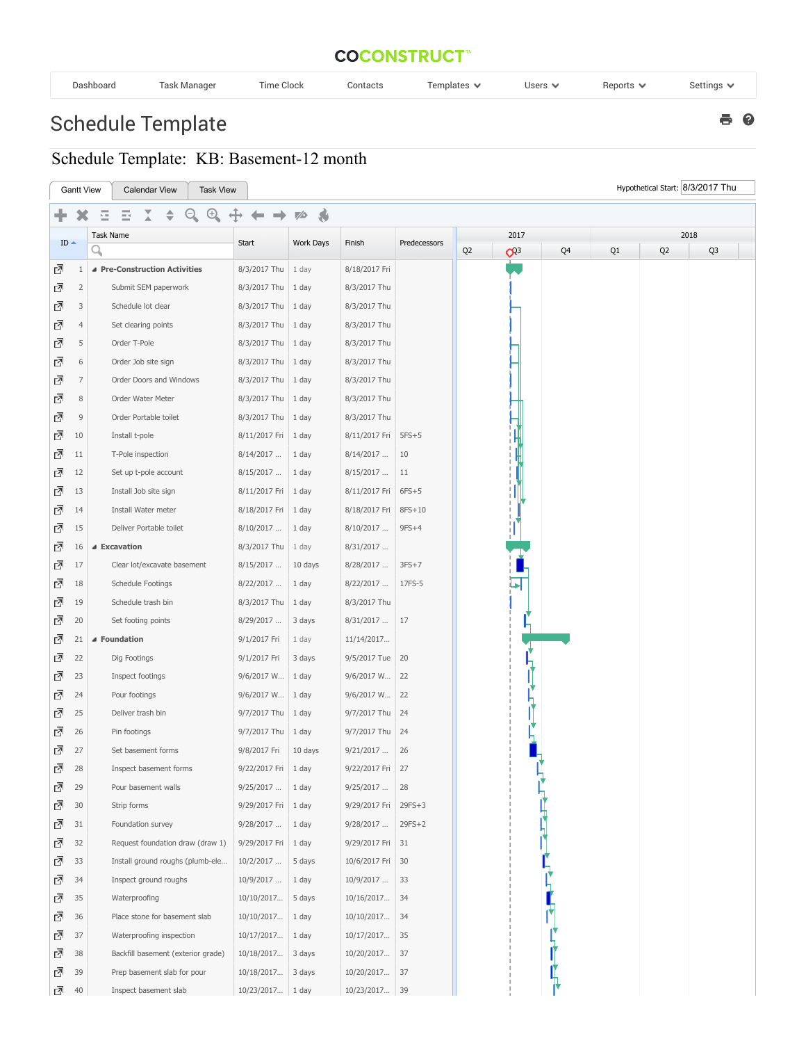## **COCONSTRUCT**<sup>\*\*</sup>

| Dashboard | Гаѕк Manaɑer | $-$<br>ime Clock | Contacts | $-$<br>Templates ∿ | Users $\blacktriangledown$ | Reports | Settings |
|-----------|--------------|------------------|----------|--------------------|----------------------------|---------|----------|
|-----------|--------------|------------------|----------|--------------------|----------------------------|---------|----------|

 $e$ 

## Schedule Template

## Schedule Template: KB: Basement-12 month

| Hypothetical Start: 8/3/2017 Thu<br><b>Gantt View</b><br><b>Calendar View</b><br><b>Task View</b> |                |                                    |                       |                     |                   |              |                |                |      |    |                |                |
|---------------------------------------------------------------------------------------------------|----------------|------------------------------------|-----------------------|---------------------|-------------------|--------------|----------------|----------------|------|----|----------------|----------------|
|                                                                                                   |                | $^{(+)}$<br>Ξ<br>⋸                 |                       | $\mathcal{A}$<br>75 |                   |              |                |                |      |    |                |                |
|                                                                                                   |                | Task Name                          |                       |                     |                   |              | 2017           |                | 2018 |    |                |                |
| $ID -$                                                                                            |                | Q                                  | Start                 | <b>Work Days</b>    | Finish            | Predecessors | Q <sub>2</sub> | Q <sup>3</sup> | Q4   | Q1 | Q <sub>2</sub> | Q <sub>3</sub> |
| 囨                                                                                                 | $\mathbf{1}$   | ▲ Pre-Construction Activities      | 8/3/2017 Thu          | 1 day               | 8/18/2017 Fri     |              |                |                |      |    |                |                |
| 囨                                                                                                 | $\overline{2}$ | Submit SEM paperwork               | 8/3/2017 Thu          | 1 day               | 8/3/2017 Thu      |              |                |                |      |    |                |                |
| ᇈ                                                                                                 | 3              | Schedule lot clear                 | 8/3/2017 Thu          | 1 day               | 8/3/2017 Thu      |              |                |                |      |    |                |                |
| ₫                                                                                                 | $\overline{4}$ | Set clearing points                | 8/3/2017 Thu          | 1 day               | 8/3/2017 Thu      |              |                |                |      |    |                |                |
| 囨                                                                                                 | 5              | Order T-Pole                       | 8/3/2017 Thu          | 1 day               | 8/3/2017 Thu      |              |                |                |      |    |                |                |
| ᇈ                                                                                                 | 6              | Order Job site sign                | 8/3/2017 Thu          | 1 day               | 8/3/2017 Thu      |              |                |                |      |    |                |                |
| ⊡                                                                                                 | $\overline{7}$ | Order Doors and Windows            | 8/3/2017 Thu          | 1 day               | 8/3/2017 Thu      |              |                |                |      |    |                |                |
| 囨                                                                                                 | 8              | Order Water Meter                  | 8/3/2017 Thu          | 1 day               | 8/3/2017 Thu      |              |                |                |      |    |                |                |
| ᇈ                                                                                                 | $\mathsf 9$    | Order Portable toilet              | 8/3/2017 Thu          | 1 day               | 8/3/2017 Thu      |              |                |                |      |    |                |                |
| 囨                                                                                                 | 10             | Install t-pole                     | 8/11/2017 Fri         | 1 day               | 8/11/2017 Fri     | $5FS+5$      |                |                |      |    |                |                |
| ᇈ                                                                                                 | 11             | T-Pole inspection                  | 8/14/2017             | 1 day               | 8/14/2017         | 10           |                |                |      |    |                |                |
| ⊡                                                                                                 | 12             | Set up t-pole account              | 8/15/2017             | 1 day               | 8/15/2017         | 11           |                |                |      |    |                |                |
| 囨                                                                                                 | 13             | Install Job site sign              | 8/11/2017 Fri         | 1 day               | 8/11/2017 Fri     | $6FS+5$      |                |                |      |    |                |                |
| 囨                                                                                                 | 14             | Install Water meter                | 8/18/2017 Fri         | 1 day               | 8/18/2017 Fri     | 8FS+10       |                |                |      |    |                |                |
| 囨                                                                                                 | 15             | Deliver Portable toilet            | 8/10/2017             | 1 day               | 8/10/2017         | $9FS+4$      |                |                |      |    |                |                |
| 囨                                                                                                 | 16             | ▲ Excavation                       | 8/3/2017 Thu          | 1 day               | 8/31/2017         |              |                |                |      |    |                |                |
| ᇈ                                                                                                 | 17             | Clear lot/excavate basement        | 8/15/2017             | 10 days             | 8/28/2017         | $3FS+7$      |                |                |      |    |                |                |
| 囨                                                                                                 | 18             | Schedule Footings                  | 8/22/2017             | 1 day               | 8/22/2017         | 17FS-5       |                |                |      |    |                |                |
| ⊡                                                                                                 | 19             | Schedule trash bin                 | 8/3/2017 Thu          | 1 day               | 8/3/2017 Thu      |              |                |                |      |    |                |                |
| 囨                                                                                                 | 20             | Set footing points                 | 8/29/2017             | 3 days              | 8/31/2017         | 17           |                |                |      |    |                |                |
| 囨                                                                                                 | 21             | ▲ Foundation                       | 9/1/2017 Fri          | 1 day               | 11/14/2017        |              |                |                |      |    |                |                |
| ᇈ                                                                                                 | 22             | Dig Footings                       | 9/1/2017 Fri          | 3 days              | 9/5/2017 Tue   20 |              |                |                |      |    |                |                |
| ᇈ                                                                                                 | 23             | Inspect footings                   | 9/6/2017 W            | 1 day               | 9/6/2017 W        | 22           |                |                |      |    |                |                |
| 囨                                                                                                 | 24             | Pour footings                      | 9/6/2017 W            | 1 day               | 9/6/2017 W        | 22           |                |                |      |    |                |                |
| 囨                                                                                                 | 25             | Deliver trash bin                  | 9/7/2017 Thu          | 1 day               | 9/7/2017 Thu      | 24           |                |                |      |    |                |                |
| ⊡                                                                                                 | 26             | Pin footings                       | 9/7/2017 Thu          | 1 day               | 9/7/2017 Thu      | 24           |                |                |      |    |                |                |
| 囨                                                                                                 | 27             | Set basement forms                 | 9/8/2017 Fri          | 10 days             | 9/21/2017         | 26           |                |                |      |    |                |                |
| ⊡                                                                                                 | 28             | Inspect basement forms             | 9/22/2017 Fri 1 day   |                     | 9/22/2017 Fri     | 27           |                |                |      |    |                |                |
| ₫                                                                                                 | 29             | Pour basement walls                | 9/25/2017             | 1 day               | 9/25/2017         | 28           |                |                |      |    |                |                |
| 진                                                                                                 | 30             | Strip forms                        | 9/29/2017 Fri         | 1 day               | 9/29/2017 Fri     | $29FS+3$     |                |                |      |    |                |                |
| ⊡                                                                                                 | 31             | Foundation survey                  | 9/28/2017             | 1 day               | 9/28/2017         | $29FS+2$     |                |                |      |    |                |                |
| 了                                                                                                 | 32             | Request foundation draw (draw 1)   | 9/29/2017 Fri   1 day |                     | 9/29/2017 Fri 31  |              |                |                |      |    |                |                |
| ⊡                                                                                                 | 33             | Install ground roughs (plumb-ele   | 10/2/2017             | 5 days              | 10/6/2017 Fri 30  |              |                |                |      |    |                |                |
| ⊡                                                                                                 | 34             | Inspect ground roughs              | 10/9/2017             | 1 day               | 10/9/2017         | 33           |                |                |      |    |                |                |
| 囨                                                                                                 | 35             | Waterproofing                      | 10/10/2017            | 5 days              | 10/16/2017        | 34           |                |                |      |    |                |                |
| ₫                                                                                                 | 36             | Place stone for basement slab      | 10/10/2017            | 1 day               | 10/10/2017        | 34           |                |                |      |    |                |                |
| ⊡                                                                                                 | 37             | Waterproofing inspection           | 10/17/2017            | $1$ day             | 10/17/2017        | 35           |                |                |      |    |                |                |
| 囨                                                                                                 | 38             | Backfill basement (exterior grade) | 10/18/2017            | 3 days              | 10/20/2017        | 37           |                |                |      |    |                |                |
| 囨                                                                                                 | 39             | Prep basement slab for pour        | 10/18/2017            | 3 days              | 10/20/2017        | 37           |                |                |      |    |                |                |
| ⊡                                                                                                 | 40             | Inspect basement slab              | 10/23/2017 1 day      |                     | 10/23/2017 39     |              |                |                |      |    |                |                |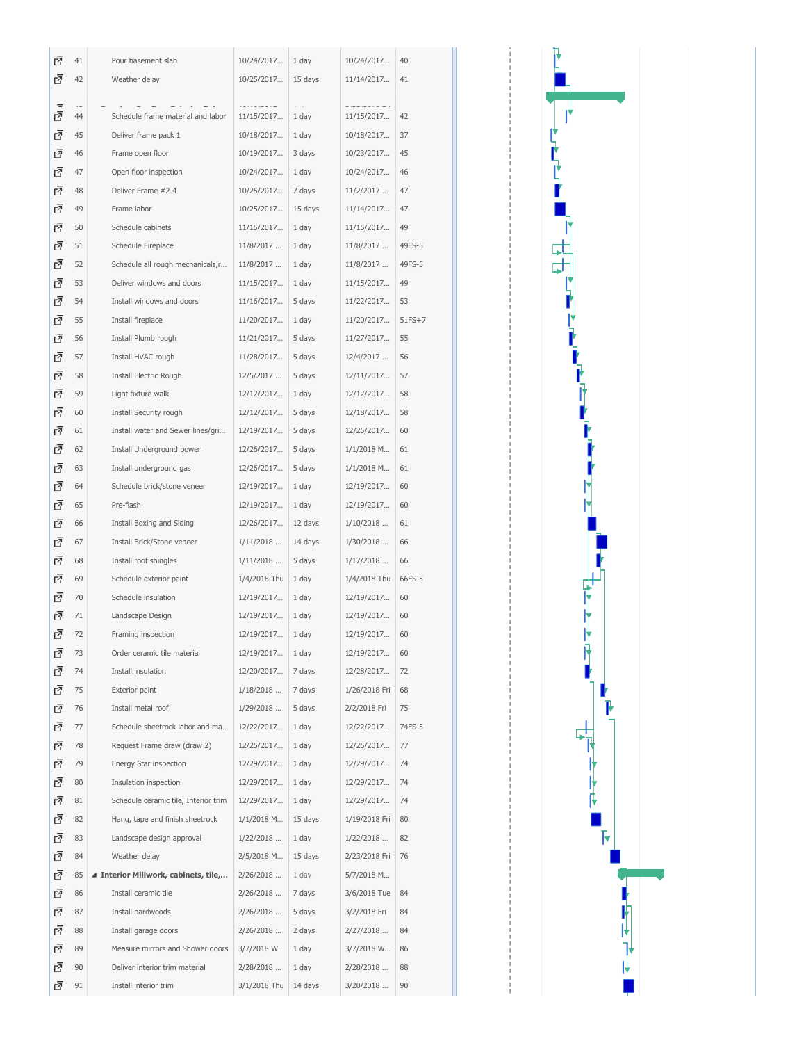| 囨             | 41 | Pour basement slab                   | 10/24/2017      | 1 day   | 10/24/2017    | 40       |
|---------------|----|--------------------------------------|-----------------|---------|---------------|----------|
| ₫             | 42 | Weather delay                        | 10/25/2017      | 15 days | 11/14/2017    | 41       |
|               |    |                                      |                 |         |               |          |
| $\equiv$<br>ᇗ | 44 | Schedule frame material and labor    | .<br>11/15/2017 | 1 day   | 11/15/2017    | 42       |
| ₫             | 45 | Deliver frame pack 1                 | 10/18/2017      | 1 day   | 10/18/2017    | 37       |
| 囨             | 46 | Frame open floor                     | 10/19/2017      | 3 days  | 10/23/2017    | 45       |
| 囨             | 47 | Open floor inspection                | 10/24/2017      | 1 day   | 10/24/2017    | 46       |
| 囨             | 48 | Deliver Frame #2-4                   | 10/25/2017      | 7 days  | 11/2/2017     | 47       |
| 囨             | 49 | Frame labor                          | 10/25/2017      | 15 days | 11/14/2017    | 47       |
| 囨             | 50 | Schedule cabinets                    | 11/15/2017      | 1 day   | 11/15/2017    | 49       |
| 囨             | 51 | Schedule Fireplace                   | 11/8/2017       | 1 day   | 11/8/2017     | 49FS-5   |
| 囨             | 52 | Schedule all rough mechanicals, r    | 11/8/2017       | 1 day   | 11/8/2017     | 49FS-5   |
| 囨             | 53 | Deliver windows and doors            | 11/15/2017      | 1 day   | 11/15/2017    | 49       |
| 진             | 54 | Install windows and doors            | 11/16/2017      | 5 days  | 11/22/2017    | 53       |
| ⊡             | 55 | Install fireplace                    | 11/20/2017      | 1 day   | 11/20/2017    | $51FS+7$ |
| 囨             | 56 | Install Plumb rough                  | 11/21/2017      | 5 days  | 11/27/2017    | 55       |
| 囨             | 57 | Install HVAC rough                   | 11/28/2017      | 5 days  | 12/4/2017     | 56       |
| 囨             | 58 | Install Electric Rough               | 12/5/2017       | 5 days  | 12/11/2017    | 57       |
| 囨             | 59 | Light fixture walk                   | 12/12/2017      | 1 day   | 12/12/2017    | 58       |
| 囨             | 60 | Install Security rough               | 12/12/2017      | 5 days  | 12/18/2017    | 58       |
| 囨             | 61 | Install water and Sewer lines/gri    | 12/19/2017      | 5 days  | 12/25/2017    | 60       |
| 囨             | 62 | Install Underground power            | 12/26/2017      | 5 days  | 1/1/2018 M    | 61       |
| 囨             | 63 | Install underground gas              | 12/26/2017      | 5 days  | 1/1/2018 M    | 61       |
| 囨             | 64 | Schedule brick/stone veneer          | 12/19/2017      | 1 day   | 12/19/2017    | 60       |
| 진             | 65 | Pre-flash                            | 12/19/2017      | 1 day   | 12/19/2017    | 60       |
| 囨             | 66 | Install Boxing and Siding            | 12/26/2017      | 12 days | 1/10/2018     | 61       |
| 囨             | 67 | Install Brick/Stone veneer           | 1/11/2018       | 14 days | 1/30/2018     | 66       |
| 囨             | 68 | Install roof shingles                | 1/11/2018       | 5 days  | 1/17/2018     | 66       |
| 囨             | 69 | Schedule exterior paint              | 1/4/2018 Thu    | 1 day   | 1/4/2018 Thu  | 66FS-5   |
| 囨             | 70 | Schedule insulation                  | 12/19/2017      | 1 day   | 12/19/2017    | 60       |
| ⊡             | 71 | Landscape Design                     | 12/19/2017      | 1 day   | 12/19/2017    | 60       |
| 囨             | 72 | Framing inspection                   | 12/19/2017      | 1 day   | 12/19/2017    | 60       |
| ᇈ             | 73 | Order ceramic tile material          | 12/19/2017      | 1 day   | 12/19/2017    | 60       |
| 囨             | 74 | Install insulation                   | 12/20/2017      | 7 days  | 12/28/2017    | 72       |
| ᇈ             | 75 | Exterior paint                       | 1/18/2018       | 7 days  | 1/26/2018 Fri | 68       |
| 囨             | 76 | Install metal roof                   | 1/29/2018       | 5 days  | 2/2/2018 Fri  | 75       |
| 囨             | 77 | Schedule sheetrock labor and ma      | 12/22/2017      | 1 day   | 12/22/2017    | 74FS-5   |
| ᇈ             | 78 | Request Frame draw (draw 2)          | 12/25/2017      | 1 day   | 12/25/2017    | 77       |
| ?             | 79 | Energy Star inspection               | 12/29/2017      | 1 day   | 12/29/2017    | 74       |
| 囨             | 80 | Insulation inspection                | 12/29/2017      | 1 day   | 12/29/2017    | 74       |
| 접             | 81 | Schedule ceramic tile, Interior trim | 12/29/2017      | 1 day   | 12/29/2017    | 74       |
| ᇈ             | 82 | Hang, tape and finish sheetrock      | 1/1/2018 M      | 15 days | 1/19/2018 Fri | 80       |
| 囨             | 83 | Landscape design approval            | 1/22/2018       | 1 day   | 1/22/2018     | 82       |
| 囨             | 84 | Weather delay                        | 2/5/2018 M      | 15 days | 2/23/2018 Fri | 76       |
| 囨             | 85 | ▲ Interior Millwork, cabinets, tile, | 2/26/2018       | 1 day   | 5/7/2018 M    |          |
| ᇈ             | 86 | Install ceramic tile                 | 2/26/2018       | 7 days  | 3/6/2018 Tue  | 84       |
| ?             | 87 | Install hardwoods                    | 2/26/2018       | 5 days  | 3/2/2018 Fri  | 84       |
| 囨             | 88 | Install garage doors                 | 2/26/2018       | 2 days  | 2/27/2018     | 84       |
| ᇈ             | 89 | Measure mirrors and Shower doors     | 3/7/2018 W      | 1 day   | 3/7/2018 W    | 86       |
| 囨             | 90 | Deliver interior trim material       | 2/28/2018       | 1 day   | 2/28/2018     | 88       |
| 囨             | 91 | Install interior trim                | 3/1/2018 Thu    | 14 days | 3/20/2018     | 90       |
|               |    |                                      |                 |         |               |          |

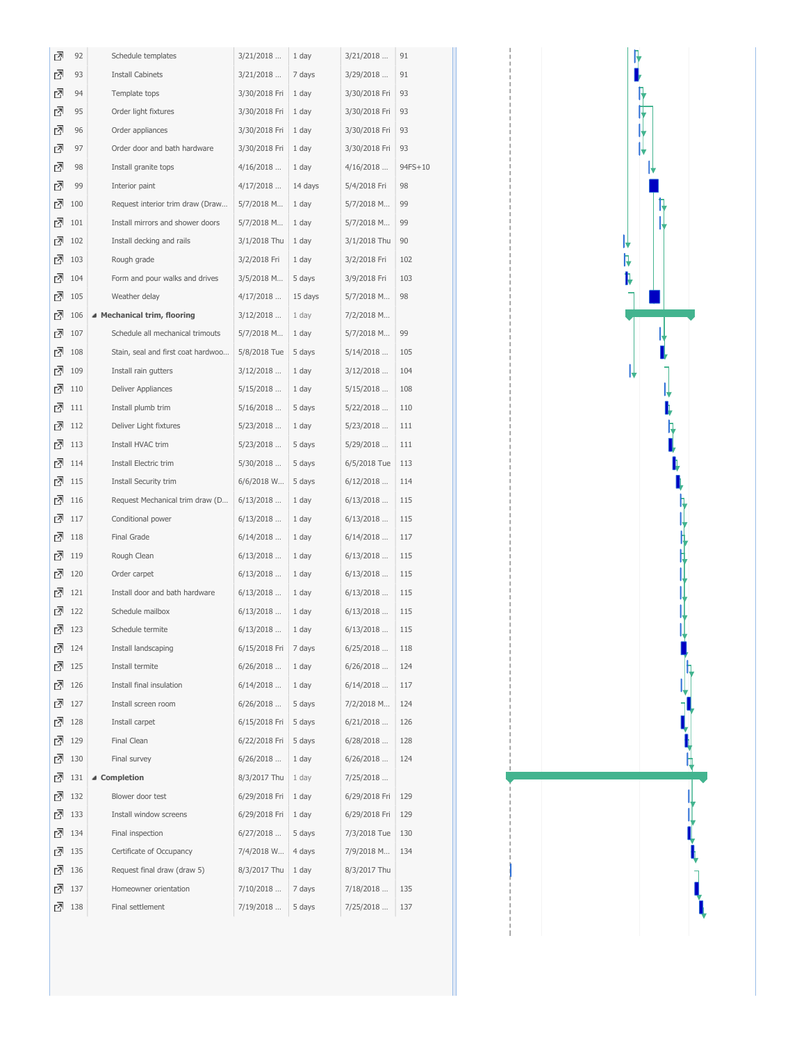| ₫ | 92  | Schedule templates                 | 3/21/2018     | 1 day   | 3/21/2018     | 91      |
|---|-----|------------------------------------|---------------|---------|---------------|---------|
| 囨 | 93  | <b>Install Cabinets</b>            | 3/21/2018     | 7 days  | 3/29/2018     | 91      |
| 囨 | 94  | Template tops                      | 3/30/2018 Fri | 1 day   | 3/30/2018 Fri | 93      |
| ₫ | 95  | Order light fixtures               | 3/30/2018 Fri | 1 day   | 3/30/2018 Fri | 93      |
| ₫ | 96  | Order appliances                   | 3/30/2018 Fri | 1 day   | 3/30/2018 Fri | 93      |
| ₫ | 97  | Order door and bath hardware       | 3/30/2018 Fri | 1 day   | 3/30/2018 Fri | 93      |
| 囨 | 98  | Install granite tops               | 4/16/2018     | 1 day   | 4/16/2018     | 94FS+10 |
| ? | 99  | Interior paint                     | 4/17/2018     | 14 days | 5/4/2018 Fri  | 98      |
| ᇗ | 100 | Request interior trim draw (Draw   | 5/7/2018 M    | 1 day   | 5/7/2018 M    | 99      |
| ᇗ | 101 | Install mirrors and shower doors   | 5/7/2018 M    | 1 day   | 5/7/2018 M    | 99      |
| 囨 | 102 | Install decking and rails          | 3/1/2018 Thu  | 1 day   | 3/1/2018 Thu  | 90      |
| 囨 | 103 | Rough grade                        | 3/2/2018 Fri  | 1 day   | 3/2/2018 Fri  | 102     |
| ᇗ | 104 | Form and pour walks and drives     | 3/5/2018 M    | 5 days  | 3/9/2018 Fri  | 103     |
| ᇗ | 105 | Weather delay                      | 4/17/2018     | 15 days | 5/7/2018 M    | 98      |
| ᇗ | 106 | ▲ Mechanical trim, flooring        | $3/12/2018$   | 1 day   | 7/2/2018 M    |         |
| ᇗ | 107 | Schedule all mechanical trimouts   | 5/7/2018 M    | 1 day   | 5/7/2018 M    | 99      |
| 囨 | 108 | Stain, seal and first coat hardwoo | 5/8/2018 Tue  | 5 days  | 5/14/2018     | 105     |
| 囨 | 109 | Install rain gutters               | 3/12/2018     | 1 day   | 3/12/2018     | 104     |
| ᇗ | 110 | Deliver Appliances                 | 5/15/2018     | 1 day   | 5/15/2018     | 108     |
| 접 | 111 | Install plumb trim                 | 5/16/2018     | 5 days  | 5/22/2018     | 110     |
| ᇗ | 112 | Deliver Light fixtures             | $5/23/2018$   | 1 day   | $5/23/2018$   | 111     |
| ⊡ | 113 | Install HVAC trim                  | 5/23/2018     | 5 days  | 5/29/2018     | 111     |
| 囨 | 114 | Install Electric trim              | 5/30/2018     | 5 days  | 6/5/2018 Tue  | 113     |
| 囨 | 115 | Install Security trim              | 6/6/2018 W    | 5 days  | 6/12/2018     | 114     |
| 囨 | 116 | Request Mechanical trim draw (D    | $6/13/2018$   | 1 day   | 6/13/2018     | 115     |
| ᇗ | 117 | Conditional power                  | 6/13/2018     | 1 day   | 6/13/2018     | 115     |
| ᇗ | 118 | Final Grade                        | 6/14/2018     | 1 day   | 6/14/2018     | 117     |
| 囨 | 119 | Rough Clean                        | 6/13/2018     | 1 day   | 6/13/2018     | 115     |
| 囨 | 120 | Order carpet                       | 6/13/2018     | 1 day   | 6/13/2018     | 115     |
| 囨 | 121 | Install door and bath hardware     | 6/13/2018     | 1 day   | 6/13/2018     | 115     |
| 立 | 122 | Schedule mailbox                   | 6/13/2018     | 1 day   | 6/13/2018     | 115     |
| 囨 | 123 | Schedule termite                   | 6/13/2018     | 1 day   | 6/13/2018     | 115     |
| 데 | 124 | Install landscaping                | 6/15/2018 Fri | 7 days  | 6/25/2018     | 118     |
| 囨 | 125 | Install termite                    | 6/26/2018     | 1 day   | 6/26/2018     | 124     |
| 접 | 126 | Install final insulation           | 6/14/2018     | 1 day   | 6/14/2018     | 117     |
| 囨 | 127 | Install screen room                | 6/26/2018     | 5 days  | 7/2/2018 M    | 124     |
| ⊡ | 128 | Install carpet                     | 6/15/2018 Fri | 5 days  | 6/21/2018     | 126     |
| 囨 | 129 | Final Clean                        | 6/22/2018 Fri | 5 days  | 6/28/2018     | 128     |
| 囨 | 130 | Final survey                       | 6/26/2018     | 1 day   | 6/26/2018     | 124     |
| 囨 | 131 | ▲ Completion                       | 8/3/2017 Thu  | 1 day   | 7/25/2018     |         |
| ᇗ | 132 | Blower door test                   | 6/29/2018 Fri | 1 day   | 6/29/2018 Fri | 129     |
| ᇗ | 133 | Install window screens             | 6/29/2018 Fri | 1 day   | 6/29/2018 Fri | 129     |
| ⊡ | 134 | Final inspection                   | 6/27/2018     | 5 days  | 7/3/2018 Tue  | 130     |
| ⊡ | 135 | Certificate of Occupancy           | 7/4/2018 W    | 4 days  | 7/9/2018 M    | 134     |
| 囨 | 136 | Request final draw (draw 5)        | 8/3/2017 Thu  | 1 day   | 8/3/2017 Thu  |         |
| 이 | 137 | Homeowner orientation              | 7/10/2018     | 7 days  | 7/18/2018     | 135     |
| 데 | 138 | Final settlement                   | 7/19/2018     | 5 days  | 7/25/2018     | 137     |